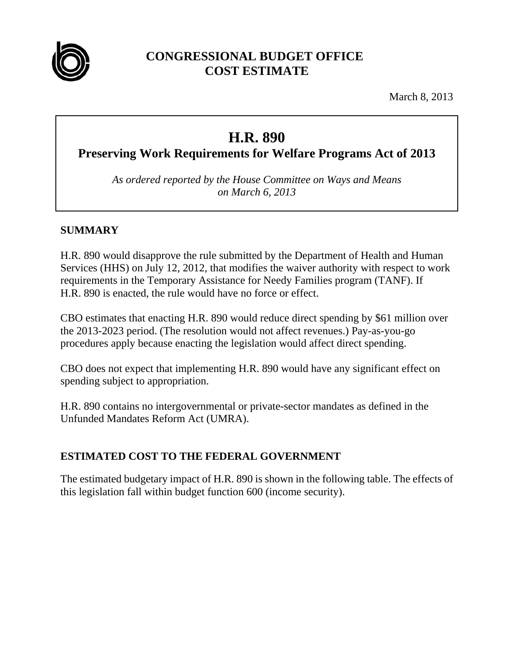

## **CONGRESSIONAL BUDGET OFFICE COST ESTIMATE**

March 8, 2013

# **H.R. 890**

**Preserving Work Requirements for Welfare Programs Act of 2013** 

*As ordered reported by the House Committee on Ways and Means on March 6, 2013* 

### **SUMMARY**

H.R. 890 would disapprove the rule submitted by the Department of Health and Human Services (HHS) on July 12, 2012, that modifies the waiver authority with respect to work requirements in the Temporary Assistance for Needy Families program (TANF). If H.R. 890 is enacted, the rule would have no force or effect.

CBO estimates that enacting H.R. 890 would reduce direct spending by \$61 million over the 2013-2023 period. (The resolution would not affect revenues.) Pay-as-you-go procedures apply because enacting the legislation would affect direct spending.

CBO does not expect that implementing H.R. 890 would have any significant effect on spending subject to appropriation.

H.R. 890 contains no intergovernmental or private-sector mandates as defined in the Unfunded Mandates Reform Act (UMRA).

## **ESTIMATED COST TO THE FEDERAL GOVERNMENT**

The estimated budgetary impact of H.R. 890 is shown in the following table. The effects of this legislation fall within budget function 600 (income security).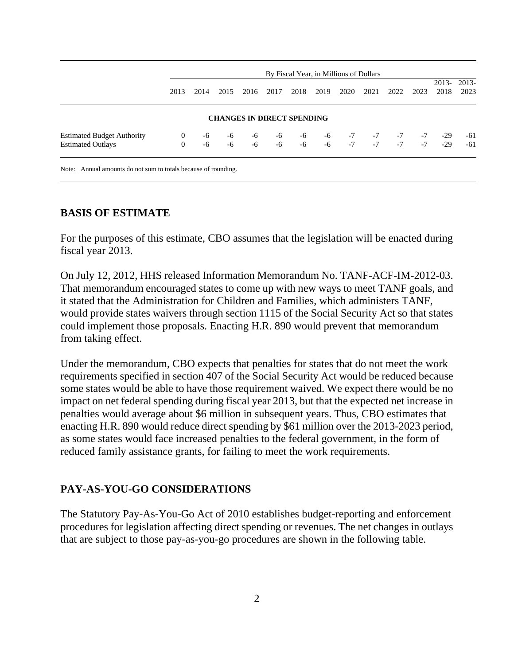|                                   | By Fiscal Year, in Millions of Dollars |      |      |                                   |      |      |           |      |      |      |      |                 |                 |
|-----------------------------------|----------------------------------------|------|------|-----------------------------------|------|------|-----------|------|------|------|------|-----------------|-----------------|
|                                   | 2013                                   | 2014 | 2015 | 2016                              | 2017 | 2018 | 2019      | 2020 | 2021 | 2022 | 2023 | $2013-$<br>2018 | $2013-$<br>2023 |
|                                   |                                        |      |      | <b>CHANGES IN DIRECT SPENDING</b> |      |      |           |      |      |      |      |                 |                 |
| <b>Estimated Budget Authority</b> | $\mathbf{0}$                           | -6   | $-6$ | -6                                | $-6$ |      | $-6$ $-6$ | $-7$ | $-7$ | $-7$ | $-7$ | $-29$           | -61             |
| <b>Estimated Outlays</b>          | $\overline{0}$                         | -6   | $-6$ | $-6$                              | $-6$ | $-6$ | $-6$      | $-7$ | $-7$ | $-7$ | $-7$ | $-29$           | $-61$           |

#### **BASIS OF ESTIMATE**

For the purposes of this estimate, CBO assumes that the legislation will be enacted during fiscal year 2013.

On July 12, 2012, HHS released Information Memorandum No. TANF-ACF-IM-2012-03. That memorandum encouraged states to come up with new ways to meet TANF goals, and it stated that the Administration for Children and Families, which administers TANF, would provide states waivers through section 1115 of the Social Security Act so that states could implement those proposals. Enacting H.R. 890 would prevent that memorandum from taking effect.

Under the memorandum, CBO expects that penalties for states that do not meet the work requirements specified in section 407 of the Social Security Act would be reduced because some states would be able to have those requirement waived. We expect there would be no impact on net federal spending during fiscal year 2013, but that the expected net increase in penalties would average about \$6 million in subsequent years. Thus, CBO estimates that enacting H.R. 890 would reduce direct spending by \$61 million over the 2013-2023 period, as some states would face increased penalties to the federal government, in the form of reduced family assistance grants, for failing to meet the work requirements.

#### **PAY-AS-YOU-GO CONSIDERATIONS**

The Statutory Pay-As-You-Go Act of 2010 establishes budget-reporting and enforcement procedures for legislation affecting direct spending or revenues. The net changes in outlays that are subject to those pay-as-you-go procedures are shown in the following table.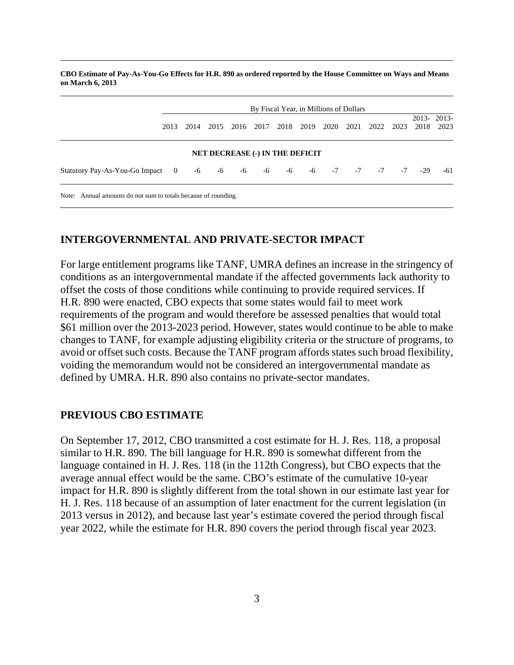**CBO Estimate of Pay-As-You-Go Effects for H.R. 890 as ordered reported by the House Committee on Ways and Means on March 6, 2013** 

|                                                                | By Fiscal Year, in Millions of Dollars |      |                                        |      |      |      |                     |  |           |      |       |                    |
|----------------------------------------------------------------|----------------------------------------|------|----------------------------------------|------|------|------|---------------------|--|-----------|------|-------|--------------------|
| 2013                                                           | 2014                                   | 2015 | 2016                                   | 2017 | 2018 | 2019 | 2020                |  | 2021 2022 | 2023 | 2018  | 2013-2013-<br>2023 |
|                                                                |                                        |      | <b>NET DECREASE (-) IN THE DEFICIT</b> |      |      |      |                     |  |           |      |       |                    |
| Statutory Pay-As-You-Go Impact 0 -6                            |                                        | $-6$ | $-6$                                   | $-6$ | -6   |      | $-6$ $-7$ $-7$ $-7$ |  |           | $-7$ | $-29$ | $-61$              |
| Note: Annual amounts do not sum to totals because of rounding. |                                        |      |                                        |      |      |      |                     |  |           |      |       |                    |

#### **INTERGOVERNMENTAL AND PRIVATE-SECTOR IMPACT**

For large entitlement programs like TANF, UMRA defines an increase in the stringency of conditions as an intergovernmental mandate if the affected governments lack authority to offset the costs of those conditions while continuing to provide required services. If H.R. 890 were enacted, CBO expects that some states would fail to meet work requirements of the program and would therefore be assessed penalties that would total \$61 million over the 2013-2023 period. However, states would continue to be able to make changes to TANF, for example adjusting eligibility criteria or the structure of programs, to avoid or offset such costs. Because the TANF program affords states such broad flexibility, voiding the memorandum would not be considered an intergovernmental mandate as defined by UMRA. H.R. 890 also contains no private-sector mandates.

#### **PREVIOUS CBO ESTIMATE**

On September 17, 2012, CBO transmitted a cost estimate for H. J. Res. 118, a proposal similar to H.R. 890. The bill language for H.R. 890 is somewhat different from the language contained in H. J. Res. 118 (in the 112th Congress), but CBO expects that the average annual effect would be the same. CBO's estimate of the cumulative 10-year impact for H.R. 890 is slightly different from the total shown in our estimate last year for H. J. Res. 118 because of an assumption of later enactment for the current legislation (in 2013 versus in 2012), and because last year's estimate covered the period through fiscal year 2022, while the estimate for H.R. 890 covers the period through fiscal year 2023.